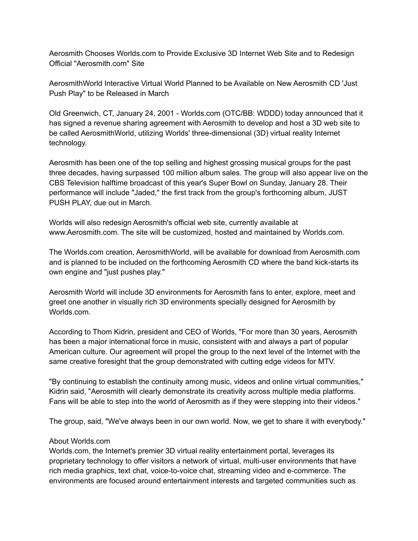Aerosmith Chooses Worlds.com to Provide Exclusive 3D Internet Web Site and to Redesign Official "Aerosmith.com" Site

AerosmithWorld Interactive Virtual World Planned to be Available on New Aerosmith CD 'Just Push Play" to be Released in March

Old Greenwich, CT, January 24, 2001 - Worlds.com (OTC/BB: WDDD) today announced that it has signed a revenue sharing agreement with Aerosmith to develop and host a 3D web site to be called AerosmithWorld, utilizing Worlds' three-dimensional (3D) virtual reality Internet technology.

Aerosmith has been one of the top selling and highest grossing musical groups for the past three decades, having surpassed 100 million album sales. The group will also appear live on the CBS Television halftime broadcast of this year's Super Bowl on Sunday, January 28. Their performance will include "Jaded," the first track from the group's forthcoming album, JUST PUSH PLAY, due out in March.

Worlds will also redesign Aerosmith's official web site, currently available at www.Aerosmith.com. The site will be customized, hosted and maintained by Worlds.com.

The Worlds.com creation, AerosmithWorld, will be available for download from Aerosmith.com and is planned to be included on the forthcoming Aerosmith CD where the band kick-starts its own engine and "just pushes play."

Aerosmith World will include 3D environments for Aerosmith fans to enter, explore, meet and greet one another in visually rich 3D environments specially designed for Aerosmith by Worlds.com.

According to Thom Kidrin, president and CEO of Worlds, "For more than 30 years, Aerosmith has been a major international force in music, consistent with and always a part of popular American culture. Our agreement will propel the group to the next level of the Internet with the same creative foresight that the group demonstrated with cutting edge videos for MTV.

"By continuing to establish the continuity among music, videos and online virtual communities," Kidrin said, "Aerosmith will clearly demonstrate its creativity across multiple media platforms. Fans will be able to step into the world of Aerosmith as if they were stepping into their videos."

The group, said, "We've always been in our own world. Now, we get to share it with everybody."

## About Worlds.com

Worlds.com, the Internet's premier 3D virtual reality entertainment portal, leverages its proprietary technology to offer visitors a network of virtual, multi-user environments that have rich media graphics, text chat, voice-to-voice chat, streaming video and e-commerce. The environments are focused around entertainment interests and targeted communities such as